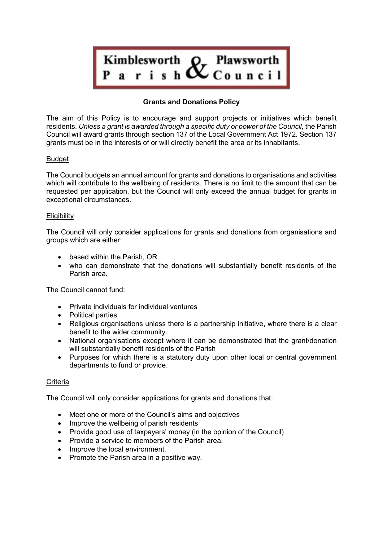

# **Grants and Donations Policy**

The aim of this Policy is to encourage and support projects or initiatives which benefit residents. *Unless a grant is awarded through a specific duty or power of the Council*, the Parish Council will award grants through [section 137 of the Local Government Act](http://www.legislation.gov.uk/ukpga/1972/70/section/137) [1972.](http://www.legislation.gov.uk/ukpga/1972/70/section/137) Section 137 grants must be in the interests of or will directly benefit the area or its inhabitants.

## **Budget**

The Council budgets an annual amount for grants and donations to organisations and activities which will contribute to the wellbeing of residents. There is no limit to the amount that can be requested per application, but the Council will only exceed the annual budget for grants in exceptional circumstances.

#### **Eligibility**

The Council will only consider applications for grants and donations from organisations and groups which are either:

- based within the Parish, OR
- who can demonstrate that the donations will substantially benefit residents of the Parish area.

The Council cannot fund:

- Private individuals for individual ventures
- Political parties
- Religious organisations unless there is a partnership initiative, where there is a clear benefit to the wider community.
- National organisations except where it can be demonstrated that the grant/donation will substantially benefit residents of the Parish
- Purposes for which there is a statutory duty upon other local or central government departments to fund or provide.

## **Criteria**

The Council will only consider applications for grants and donations that:

- Meet one or more of the Council's aims and objectives
- Improve the wellbeing of parish residents
- Provide good use of taxpayers' money (in the opinion of the Council)
- Provide a service to members of the Parish area.
- Improve the local environment.
- Promote the Parish area in a positive way.